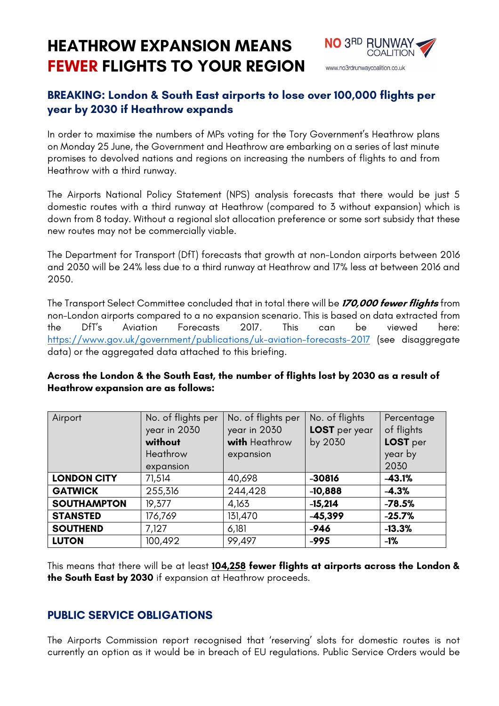# **HEATHROW EXPANSION MEANS FEWER FLIGHTS TO YOUR REGION**



# **BREAKING: London & South East airports to lose over 100,000 flights per year by 2030 if Heathrow expands**

In order to maximise the numbers of MPs voting for the Tory Government's Heathrow plans on Monday 25 June, the Government and Heathrow are embarking on a series of last minute promises to devolved nations and regions on increasing the numbers of flights to and from Heathrow with a third runway.

The Airports National Policy Statement (NPS) analysis forecasts that there would be just 5 domestic routes with a third runway at Heathrow (compared to 3 without expansion) which is down from 8 today. Without a regional slot allocation preference or some sort subsidy that these new routes may not be commercially viable.

The Department for Transport (DfT) forecasts that growth at non-London airports between 2016 and 2030 will be 24% less due to a third runway at Heathrow and 17% less at between 2016 and 2050.

The Transport Select Committee concluded that in total there will be **170,000 fewer flights** from non-London airports compared to a no expansion scenario. This is based on data extracted from the DfT's Aviation Forecasts 2017. This can be viewed here: https://www.gov.uk/government/publications/uk-aviation-forecasts-2017 (see disaggregate data) or the aggregated data attached to this briefing.

| Airport            | No. of flights per<br>year in 2030<br>without<br>Heathrow<br>expansion | No. of flights per<br>year in 2030<br>with Heathrow<br>expansion | No. of flights<br>LOST per year<br>by 2030 | Percentage<br>of flights<br>LOST per<br>year by<br>2030 |
|--------------------|------------------------------------------------------------------------|------------------------------------------------------------------|--------------------------------------------|---------------------------------------------------------|
| <b>LONDON CITY</b> | 71,514                                                                 | 40,698                                                           | $-30816$                                   | $-43.1%$                                                |
| <b>GATWICK</b>     | 255,316                                                                | 244,428                                                          | $-10,888$                                  | $-4.3%$                                                 |
| <b>SOUTHAMPTON</b> | 19,377                                                                 | 4,163                                                            | $-15,214$                                  | $-78.5%$                                                |
| <b>STANSTED</b>    | 176,769                                                                | 131,470                                                          | $-45,399$                                  | $-25.7%$                                                |
| <b>SOUTHEND</b>    | 7,127                                                                  | 6,181                                                            | $-946$                                     | $-13.3%$                                                |
| <b>LUTON</b>       | 100,492                                                                | 99,497                                                           | $-995$                                     | $-1%$                                                   |

#### **Across the London & the South East, the number of flights lost by 2030 as a result of Heathrow expansion are as follows:**

This means that there will be at least **104,258 fewer flights at airports across the London & the South East by 2030** if expansion at Heathrow proceeds.

#### **PUBLIC SERVICE OBLIGATIONS**

The Airports Commission report recognised that 'reserving' slots for domestic routes is not currently an option as it would be in breach of EU regulations. Public Service Orders would be